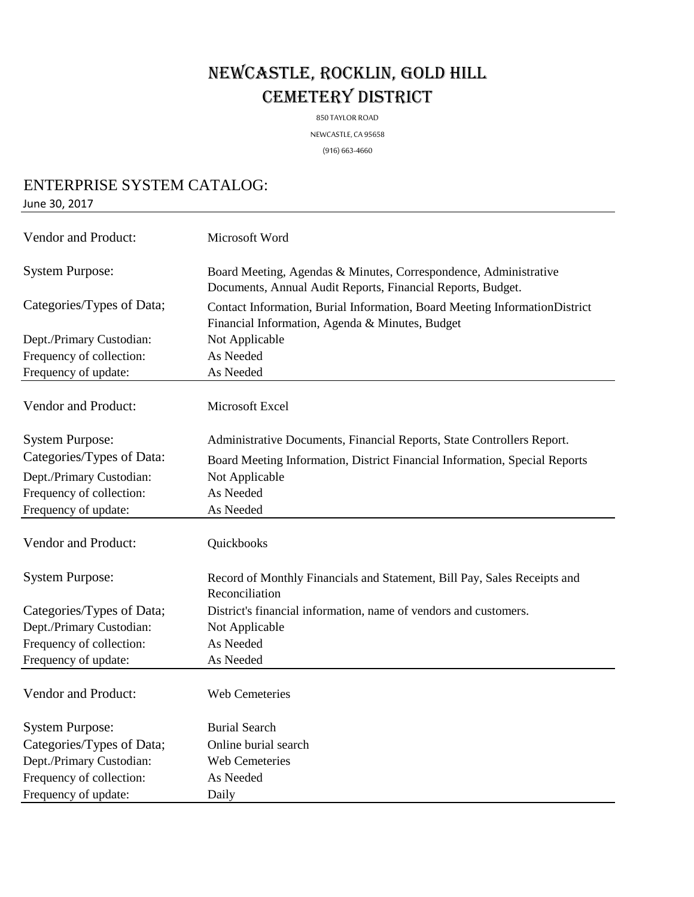## NEWCASTLE, ROCKLIN, GOLD HILL CEMETERY DISTRICT

850 TAYLOR ROAD

NEWCASTLE, CA 95658

(916) 663-4660

## ENTERPRISE SYSTEM CATALOG:

June 30, 2017

| Vendor and Product:       | Microsoft Word                                                                                                                  |
|---------------------------|---------------------------------------------------------------------------------------------------------------------------------|
| <b>System Purpose:</b>    | Board Meeting, Agendas & Minutes, Correspondence, Administrative<br>Documents, Annual Audit Reports, Financial Reports, Budget. |
| Categories/Types of Data; | Contact Information, Burial Information, Board Meeting InformationDistrict<br>Financial Information, Agenda & Minutes, Budget   |
| Dept./Primary Custodian:  | Not Applicable                                                                                                                  |
| Frequency of collection:  | As Needed                                                                                                                       |
| Frequency of update:      | As Needed                                                                                                                       |
| Vendor and Product:       | Microsoft Excel                                                                                                                 |
| <b>System Purpose:</b>    | Administrative Documents, Financial Reports, State Controllers Report.                                                          |
| Categories/Types of Data: | Board Meeting Information, District Financial Information, Special Reports                                                      |
| Dept./Primary Custodian:  | Not Applicable                                                                                                                  |
| Frequency of collection:  | As Needed                                                                                                                       |
| Frequency of update:      | As Needed                                                                                                                       |
| Vendor and Product:       | Quickbooks                                                                                                                      |
| <b>System Purpose:</b>    | Record of Monthly Financials and Statement, Bill Pay, Sales Receipts and<br>Reconciliation                                      |
| Categories/Types of Data; | District's financial information, name of vendors and customers.                                                                |
| Dept./Primary Custodian:  | Not Applicable                                                                                                                  |
| Frequency of collection:  | As Needed                                                                                                                       |
| Frequency of update:      | As Needed                                                                                                                       |
| Vendor and Product:       | Web Cemeteries                                                                                                                  |
| <b>System Purpose:</b>    | <b>Burial Search</b>                                                                                                            |
| Categories/Types of Data; | Online burial search                                                                                                            |
| Dept./Primary Custodian:  | Web Cemeteries                                                                                                                  |
| Frequency of collection:  | As Needed                                                                                                                       |
| Frequency of update:      | Daily                                                                                                                           |